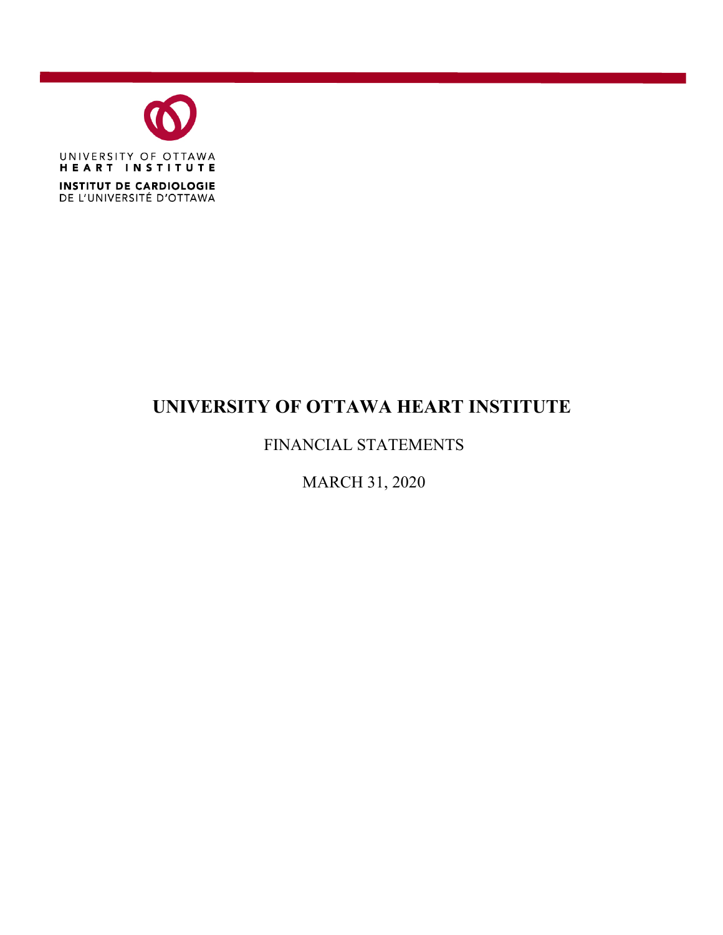

FINANCIAL STATEMENTS

MARCH 31, 2020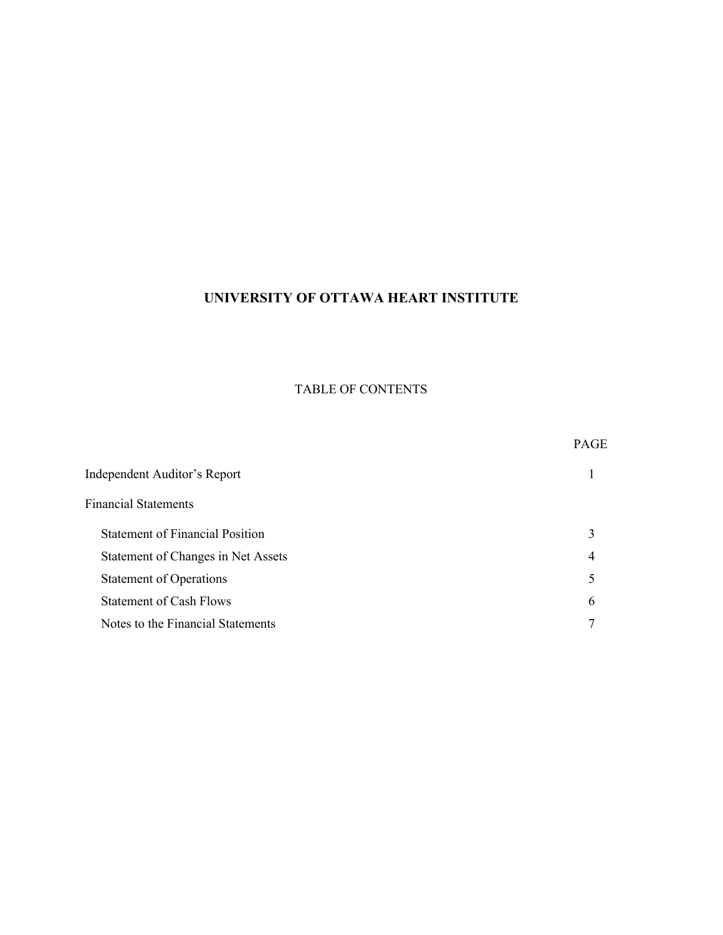## TABLE OF CONTENTS

|                                        | <b>PAGE</b> |
|----------------------------------------|-------------|
| Independent Auditor's Report           |             |
| <b>Financial Statements</b>            |             |
| <b>Statement of Financial Position</b> | 3           |
| Statement of Changes in Net Assets     | 4           |
| <b>Statement of Operations</b>         | 5           |
| <b>Statement of Cash Flows</b>         | 6           |
| Notes to the Financial Statements      |             |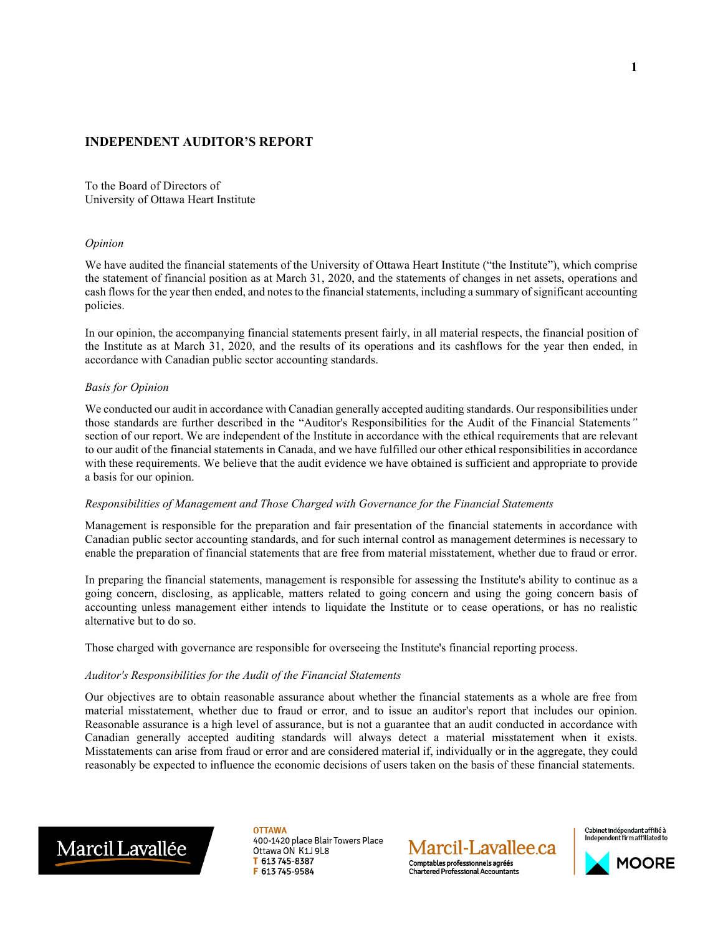#### **INDEPENDENT AUDITOR'S REPORT**

To the Board of Directors of University of Ottawa Heart Institute

#### *Opinion*

We have audited the financial statements of the University of Ottawa Heart Institute ("the Institute"), which comprise the statement of financial position as at March 31, 2020, and the statements of changes in net assets, operations and cash flows for the year then ended, and notes to the financial statements, including a summary of significant accounting policies.

In our opinion, the accompanying financial statements present fairly, in all material respects, the financial position of the Institute as at March 31, 2020, and the results of its operations and its cashflows for the year then ended, in accordance with Canadian public sector accounting standards.

#### *Basis for Opinion*

We conducted our audit in accordance with Canadian generally accepted auditing standards. Our responsibilities under those standards are further described in the "Auditor's Responsibilities for the Audit of the Financial Statements*"* section of our report. We are independent of the Institute in accordance with the ethical requirements that are relevant to our audit of the financial statements in Canada, and we have fulfilled our other ethical responsibilities in accordance with these requirements. We believe that the audit evidence we have obtained is sufficient and appropriate to provide a basis for our opinion.

#### *Responsibilities of Management and Those Charged with Governance for the Financial Statements*

Management is responsible for the preparation and fair presentation of the financial statements in accordance with Canadian public sector accounting standards, and for such internal control as management determines is necessary to enable the preparation of financial statements that are free from material misstatement, whether due to fraud or error.

In preparing the financial statements, management is responsible for assessing the Institute's ability to continue as a going concern, disclosing, as applicable, matters related to going concern and using the going concern basis of accounting unless management either intends to liquidate the Institute or to cease operations, or has no realistic alternative but to do so.

Those charged with governance are responsible for overseeing the Institute's financial reporting process.

#### *Auditor's Responsibilities for the Audit of the Financial Statements*

Our objectives are to obtain reasonable assurance about whether the financial statements as a whole are free from material misstatement, whether due to fraud or error, and to issue an auditor's report that includes our opinion. Reasonable assurance is a high level of assurance, but is not a guarantee that an audit conducted in accordance with Canadian generally accepted auditing standards will always detect a material misstatement when it exists. Misstatements can arise from fraud or error and are considered material if, individually or in the aggregate, they could reasonably be expected to influence the economic decisions of users taken on the basis of these financial statements.



**OTTAWA** 400-1420 place Blair Towers Place Ottawa ON K1J 9L8 T 613 745-8387 F 613 745-9584

Marcil-Lavallee.ca Comptables professionnels agréés **Chartered Professional Accountants** 

Cabinet indépendant affilié à Independent firm affiliated to

**1**

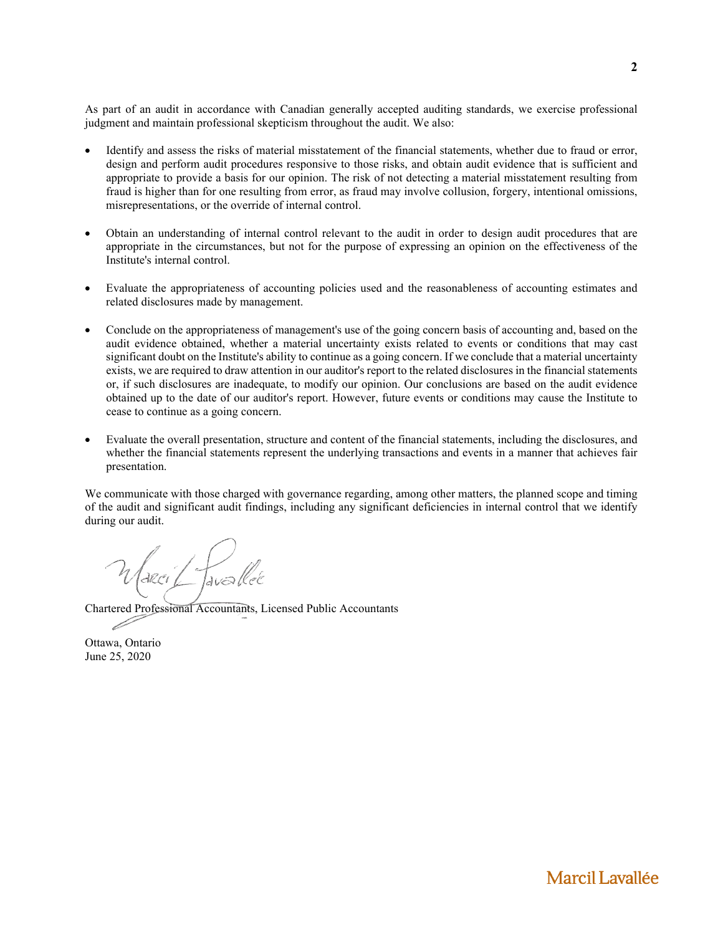As part of an audit in accordance with Canadian generally accepted auditing standards, we exercise professional judgment and maintain professional skepticism throughout the audit. We also:

- Identify and assess the risks of material misstatement of the financial statements, whether due to fraud or error, design and perform audit procedures responsive to those risks, and obtain audit evidence that is sufficient and appropriate to provide a basis for our opinion. The risk of not detecting a material misstatement resulting from fraud is higher than for one resulting from error, as fraud may involve collusion, forgery, intentional omissions, misrepresentations, or the override of internal control.
- Obtain an understanding of internal control relevant to the audit in order to design audit procedures that are appropriate in the circumstances, but not for the purpose of expressing an opinion on the effectiveness of the Institute's internal control.
- Evaluate the appropriateness of accounting policies used and the reasonableness of accounting estimates and related disclosures made by management.
- Conclude on the appropriateness of management's use of the going concern basis of accounting and, based on the audit evidence obtained, whether a material uncertainty exists related to events or conditions that may cast significant doubt on the Institute's ability to continue as a going concern. If we conclude that a material uncertainty exists, we are required to draw attention in our auditor's report to the related disclosures in the financial statements or, if such disclosures are inadequate, to modify our opinion. Our conclusions are based on the audit evidence obtained up to the date of our auditor's report. However, future events or conditions may cause the Institute to cease to continue as a going concern.
- Evaluate the overall presentation, structure and content of the financial statements, including the disclosures, and whether the financial statements represent the underlying transactions and events in a manner that achieves fair presentation.

We communicate with those charged with governance regarding, among other matters, the planned scope and timing of the audit and significant audit findings, including any significant deficiencies in internal control that we identify during our audit.

avalle

Chartered Professional Accountants, Licensed Public Accountants

Ottawa, Ontario June 25, 2020

Marcil Lavallée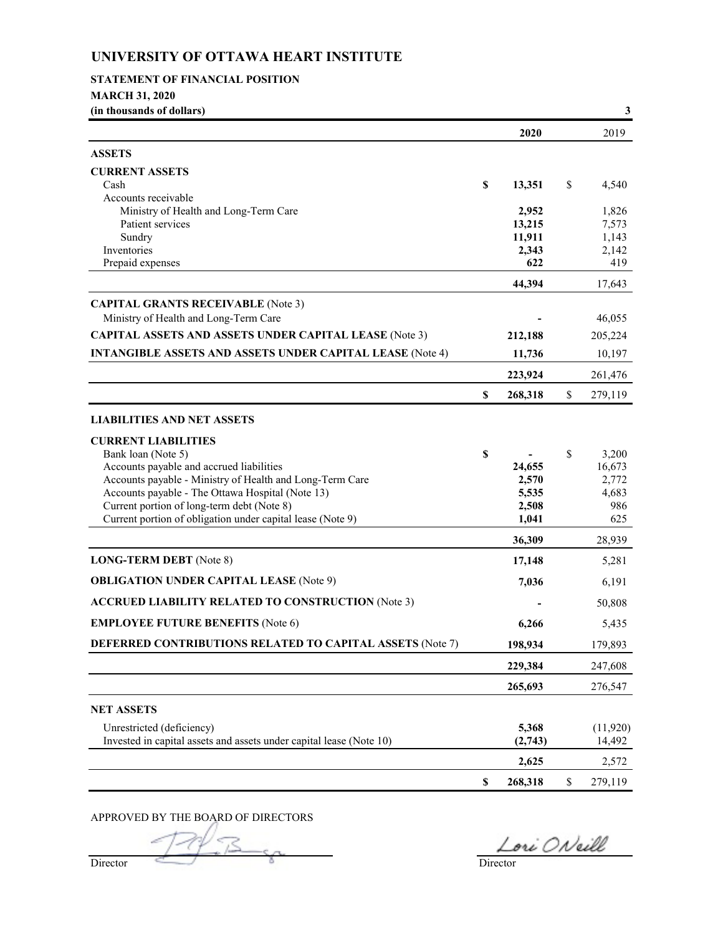## **STATEMENT OF FINANCIAL POSITION**

### **MARCH 31, 2020**

| (in thousands of dollars)                                                          |             |                 |                                             | 3              |
|------------------------------------------------------------------------------------|-------------|-----------------|---------------------------------------------|----------------|
|                                                                                    |             | 2020            |                                             | 2019           |
| <b>ASSETS</b>                                                                      |             |                 |                                             |                |
| <b>CURRENT ASSETS</b>                                                              |             |                 |                                             |                |
| Cash                                                                               | \$          | 13,351          | \$                                          | 4,540          |
| Accounts receivable                                                                |             |                 |                                             |                |
| Ministry of Health and Long-Term Care                                              |             | 2,952           |                                             | 1,826          |
| Patient services                                                                   |             | 13,215          |                                             | 7,573          |
| Sundry<br>Inventories                                                              |             | 11,911<br>2,343 |                                             | 1,143<br>2,142 |
| Prepaid expenses                                                                   |             | 622             |                                             | 419            |
|                                                                                    |             | 44,394          |                                             | 17,643         |
|                                                                                    |             |                 |                                             |                |
| <b>CAPITAL GRANTS RECEIVABLE (Note 3)</b><br>Ministry of Health and Long-Term Care |             |                 |                                             | 46,055         |
| <b>CAPITAL ASSETS AND ASSETS UNDER CAPITAL LEASE (Note 3)</b>                      |             | 212,188         |                                             | 205,224        |
| <b>INTANGIBLE ASSETS AND ASSETS UNDER CAPITAL LEASE (Note 4)</b>                   |             | 11,736          |                                             | 10,197         |
|                                                                                    |             | 223,924         |                                             | 261,476        |
|                                                                                    |             |                 |                                             |                |
|                                                                                    | \$          | 268,318         | \$                                          | 279,119        |
| <b>LIABILITIES AND NET ASSETS</b>                                                  |             |                 |                                             |                |
| <b>CURRENT LIABILITIES</b>                                                         |             |                 |                                             |                |
| Bank loan (Note 5)                                                                 | \$          |                 | \$                                          | 3,200          |
| Accounts payable and accrued liabilities                                           |             | 24,655          |                                             | 16,673         |
| Accounts payable - Ministry of Health and Long-Term Care                           |             | 2,570           |                                             | 2,772          |
| Accounts payable - The Ottawa Hospital (Note 13)                                   |             | 5,535           |                                             | 4,683          |
| Current portion of long-term debt (Note 8)                                         |             | 2,508           |                                             | 986            |
| Current portion of obligation under capital lease (Note 9)                         |             | 1,041           |                                             | 625            |
|                                                                                    |             | 36,309          |                                             | 28,939         |
| <b>LONG-TERM DEBT</b> (Note 8)                                                     |             | 17,148          |                                             | 5,281          |
| <b>OBLIGATION UNDER CAPITAL LEASE (Note 9)</b>                                     |             | 7,036           |                                             | 6,191          |
| <b>ACCRUED LIABILITY RELATED TO CONSTRUCTION (Note 3)</b>                          |             |                 |                                             | 50,808         |
| <b>EMPLOYEE FUTURE BENEFITS (Note 6)</b>                                           |             | 6,266           |                                             | 5,435          |
| DEFERRED CONTRIBUTIONS RELATED TO CAPITAL ASSETS (Note 7)                          |             | 198,934         |                                             | 179,893        |
|                                                                                    |             | 229,384         |                                             | 247,608        |
|                                                                                    |             | 265,693         |                                             | 276,547        |
| <b>NET ASSETS</b>                                                                  |             |                 |                                             |                |
| Unrestricted (deficiency)                                                          |             | 5,368           |                                             | (11,920)       |
| Invested in capital assets and assets under capital lease (Note 10)                |             | (2,743)         |                                             | 14,492         |
|                                                                                    |             | 2,625           |                                             | 2,572          |
|                                                                                    | $\mathbb S$ | 268,318         | $\mathbb{S}% _{n}^{X\rightarrow\mathbb{R}}$ | 279,119        |

APPROVED BY THE BOARD OF DIRECTORS

Director **Director Director**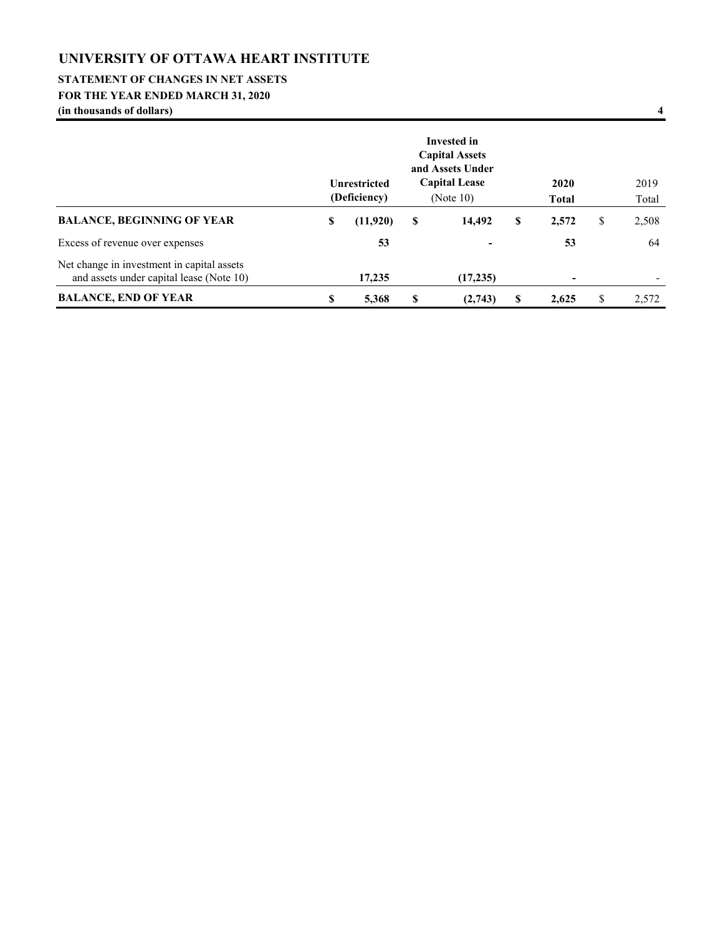## **STATEMENT OF CHANGES IN NET ASSETS FOR THE YEAR ENDED MARCH 31, 2020**

**(in thousands of dollars)**

|                                                                                        |   | <b>Invested in</b><br><b>Capital Assets</b><br>and Assets Under<br><b>Capital Lease</b><br><b>Unrestricted</b><br>(Deficiency)<br>(Note $10$ ) |    |          | 2020<br>Total |       | 2019<br>Total |       |
|----------------------------------------------------------------------------------------|---|------------------------------------------------------------------------------------------------------------------------------------------------|----|----------|---------------|-------|---------------|-------|
| <b>BALANCE, BEGINNING OF YEAR</b>                                                      | S | (11,920)                                                                                                                                       | \$ | 14,492   | \$            | 2,572 | S             | 2,508 |
| Excess of revenue over expenses                                                        |   | 53                                                                                                                                             |    |          |               | 53    |               | 64    |
| Net change in investment in capital assets<br>and assets under capital lease (Note 10) |   | 17,235                                                                                                                                         |    | (17,235) |               | ۰     |               |       |
| <b>BALANCE, END OF YEAR</b>                                                            | S | 5.368                                                                                                                                          | S  | (2,743)  | S             | 2.625 |               | 2,572 |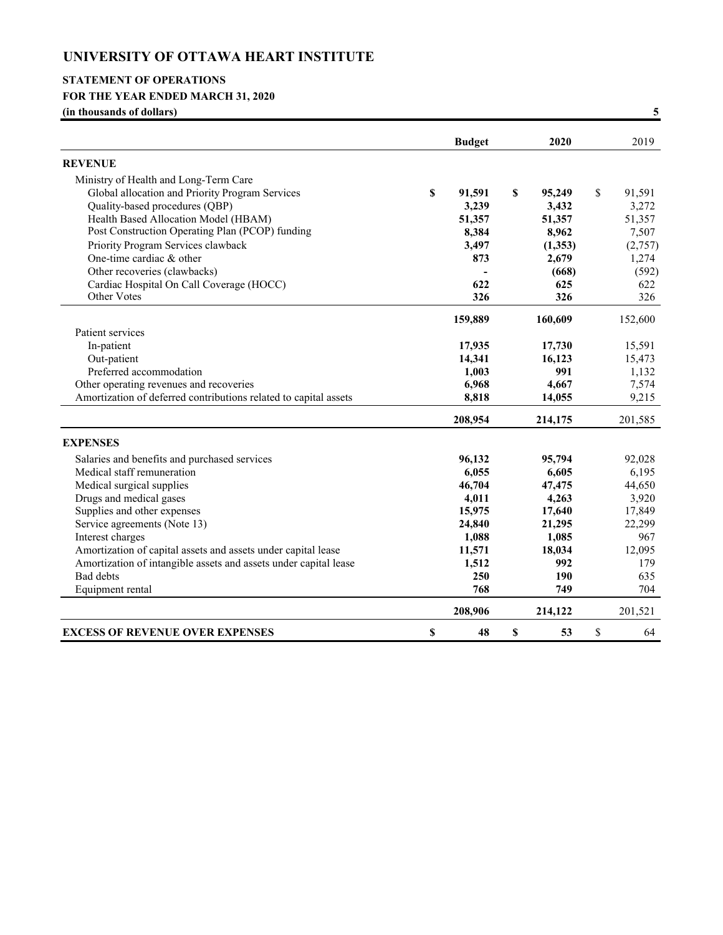## **STATEMENT OF OPERATIONS FOR THE YEAR ENDED MARCH 31, 2020**

**(in thousands of dollars) 5**

|                                                                  | <b>Budget</b> | 2020         | 2019         |
|------------------------------------------------------------------|---------------|--------------|--------------|
| <b>REVENUE</b>                                                   |               |              |              |
| Ministry of Health and Long-Term Care                            |               |              |              |
| Global allocation and Priority Program Services                  | \$<br>91,591  | \$<br>95,249 | \$<br>91,591 |
| Quality-based procedures (QBP)                                   | 3,239         | 3,432        | 3,272        |
| Health Based Allocation Model (HBAM)                             | 51,357        | 51,357       | 51,357       |
| Post Construction Operating Plan (PCOP) funding                  | 8,384         | 8,962        | 7,507        |
| Priority Program Services clawback                               | 3,497         | (1,353)      | (2,757)      |
| One-time cardiac & other                                         | 873           | 2,679        | 1,274        |
| Other recoveries (clawbacks)                                     |               | (668)        | (592)        |
| Cardiac Hospital On Call Coverage (HOCC)                         | 622           | 625          | 622          |
| Other Votes                                                      | 326           | 326          | 326          |
|                                                                  | 159,889       | 160,609      | 152,600      |
| Patient services                                                 |               |              |              |
| In-patient                                                       | 17,935        | 17,730       | 15,591       |
| Out-patient                                                      | 14,341        | 16,123       | 15,473       |
| Preferred accommodation                                          | 1,003         | 991          | 1,132        |
| Other operating revenues and recoveries                          | 6,968         | 4,667        | 7,574        |
| Amortization of deferred contributions related to capital assets | 8,818         | 14,055       | 9,215        |
|                                                                  | 208,954       | 214,175      | 201,585      |
| <b>EXPENSES</b>                                                  |               |              |              |
| Salaries and benefits and purchased services                     | 96,132        | 95,794       | 92,028       |
| Medical staff remuneration                                       | 6,055         | 6,605        | 6,195        |
| Medical surgical supplies                                        | 46,704        | 47,475       | 44,650       |
| Drugs and medical gases                                          | 4,011         | 4,263        | 3,920        |
| Supplies and other expenses                                      | 15,975        | 17,640       | 17,849       |
| Service agreements (Note 13)                                     | 24,840        | 21,295       | 22,299       |
| Interest charges                                                 | 1,088         | 1.085        | 967          |
| Amortization of capital assets and assets under capital lease    | 11,571        | 18,034       | 12,095       |
| Amortization of intangible assets and assets under capital lease | 1,512         | 992          | 179          |
| <b>Bad debts</b>                                                 | 250           | 190          | 635          |
| Equipment rental                                                 | 768           | 749          | 704          |
|                                                                  | 208,906       | 214,122      | 201,521      |
| <b>EXCESS OF REVENUE OVER EXPENSES</b>                           | \$<br>48      | \$<br>53     | \$<br>64     |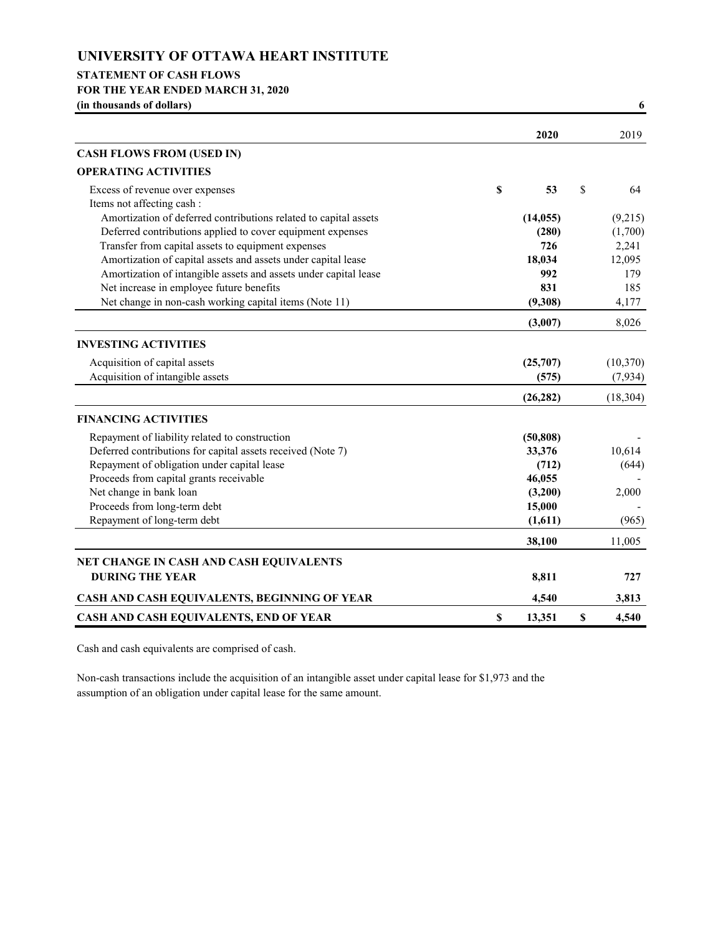**STATEMENT OF CASH FLOWS**

## **FOR THE YEAR ENDED MARCH 31, 2020**

**(in thousands of dollars) 6**

|                                                                                               | 2020         | 2019        |
|-----------------------------------------------------------------------------------------------|--------------|-------------|
| <b>CASH FLOWS FROM (USED IN)</b>                                                              |              |             |
| <b>OPERATING ACTIVITIES</b>                                                                   |              |             |
| Excess of revenue over expenses                                                               | \$<br>53     | \$<br>64    |
| Items not affecting cash:<br>Amortization of deferred contributions related to capital assets | (14, 055)    | (9,215)     |
| Deferred contributions applied to cover equipment expenses                                    | (280)        | (1,700)     |
| Transfer from capital assets to equipment expenses                                            | 726          | 2,241       |
| Amortization of capital assets and assets under capital lease                                 | 18,034       | 12,095      |
| Amortization of intangible assets and assets under capital lease                              | 992          | 179         |
| Net increase in employee future benefits                                                      | 831          | 185         |
| Net change in non-cash working capital items (Note 11)                                        | (9,308)      | 4,177       |
|                                                                                               | (3,007)      | 8,026       |
| <b>INVESTING ACTIVITIES</b>                                                                   |              |             |
| Acquisition of capital assets                                                                 | (25,707)     | (10,370)    |
| Acquisition of intangible assets                                                              | (575)        | (7, 934)    |
|                                                                                               | (26, 282)    | (18, 304)   |
| <b>FINANCING ACTIVITIES</b>                                                                   |              |             |
| Repayment of liability related to construction                                                | (50, 808)    |             |
| Deferred contributions for capital assets received (Note 7)                                   | 33,376       | 10,614      |
| Repayment of obligation under capital lease                                                   | (712)        | (644)       |
| Proceeds from capital grants receivable                                                       | 46,055       |             |
| Net change in bank loan                                                                       | (3,200)      | 2,000       |
| Proceeds from long-term debt                                                                  | 15,000       |             |
| Repayment of long-term debt                                                                   | (1,611)      | (965)       |
|                                                                                               | 38,100       | 11,005      |
| NET CHANGE IN CASH AND CASH EQUIVALENTS                                                       |              |             |
| <b>DURING THE YEAR</b>                                                                        | 8,811        | 727         |
| CASH AND CASH EQUIVALENTS, BEGINNING OF YEAR                                                  | 4,540        | 3,813       |
| CASH AND CASH EQUIVALENTS, END OF YEAR                                                        | \$<br>13,351 | \$<br>4,540 |

Cash and cash equivalents are comprised of cash.

Non-cash transactions include the acquisition of an intangible asset under capital lease for \$1,973 and the assumption of an obligation under capital lease for the same amount.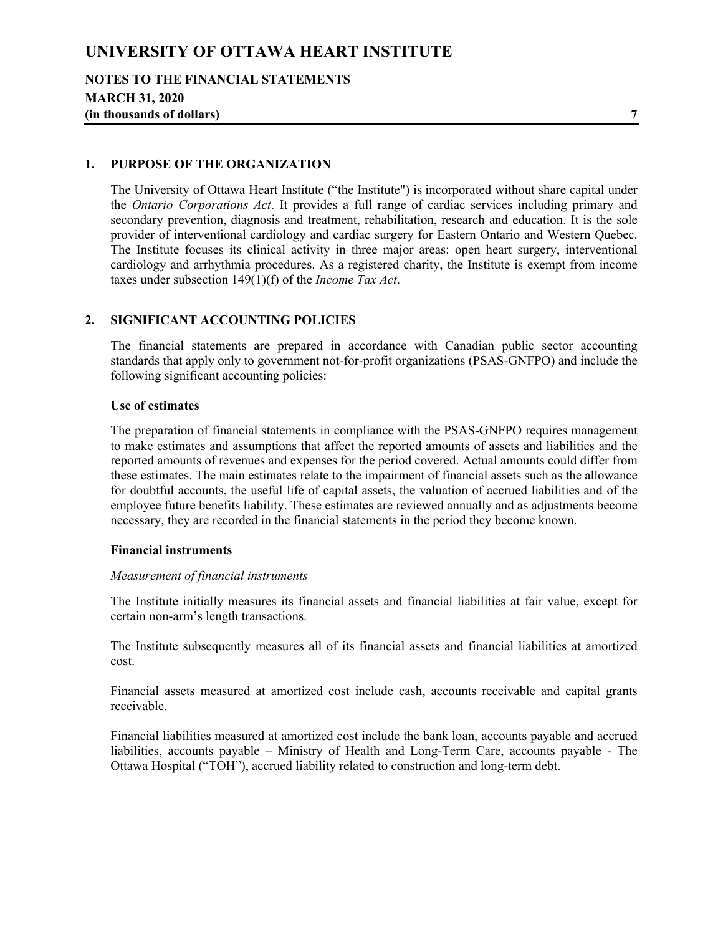**NOTES TO THE FINANCIAL STATEMENTS**

### **MARCH 31, 2020 (in thousands of dollars)**

### **1. PURPOSE OF THE ORGANIZATION**

The University of Ottawa Heart Institute ("the Institute") is incorporated without share capital under the *Ontario Corporations Act*. It provides a full range of cardiac services including primary and secondary prevention, diagnosis and treatment, rehabilitation, research and education. It is the sole provider of interventional cardiology and cardiac surgery for Eastern Ontario and Western Quebec. The Institute focuses its clinical activity in three major areas: open heart surgery, interventional cardiology and arrhythmia procedures. As a registered charity, the Institute is exempt from income taxes under subsection 149(1)(f) of the *Income Tax Act*.

### **2. SIGNIFICANT ACCOUNTING POLICIES**

The financial statements are prepared in accordance with Canadian public sector accounting standards that apply only to government not-for-profit organizations (PSAS-GNFPO) and include the following significant accounting policies:

#### **Use of estimates**

The preparation of financial statements in compliance with the PSAS-GNFPO requires management to make estimates and assumptions that affect the reported amounts of assets and liabilities and the reported amounts of revenues and expenses for the period covered. Actual amounts could differ from these estimates. The main estimates relate to the impairment of financial assets such as the allowance for doubtful accounts, the useful life of capital assets, the valuation of accrued liabilities and of the employee future benefits liability. These estimates are reviewed annually and as adjustments become necessary, they are recorded in the financial statements in the period they become known.

#### **Financial instruments**

#### *Measurement of financial instruments*

The Institute initially measures its financial assets and financial liabilities at fair value, except for certain non-arm's length transactions.

The Institute subsequently measures all of its financial assets and financial liabilities at amortized cost.

Financial assets measured at amortized cost include cash, accounts receivable and capital grants receivable.

Financial liabilities measured at amortized cost include the bank loan, accounts payable and accrued liabilities, accounts payable – Ministry of Health and Long-Term Care, accounts payable - The Ottawa Hospital ("TOH"), accrued liability related to construction and long-term debt.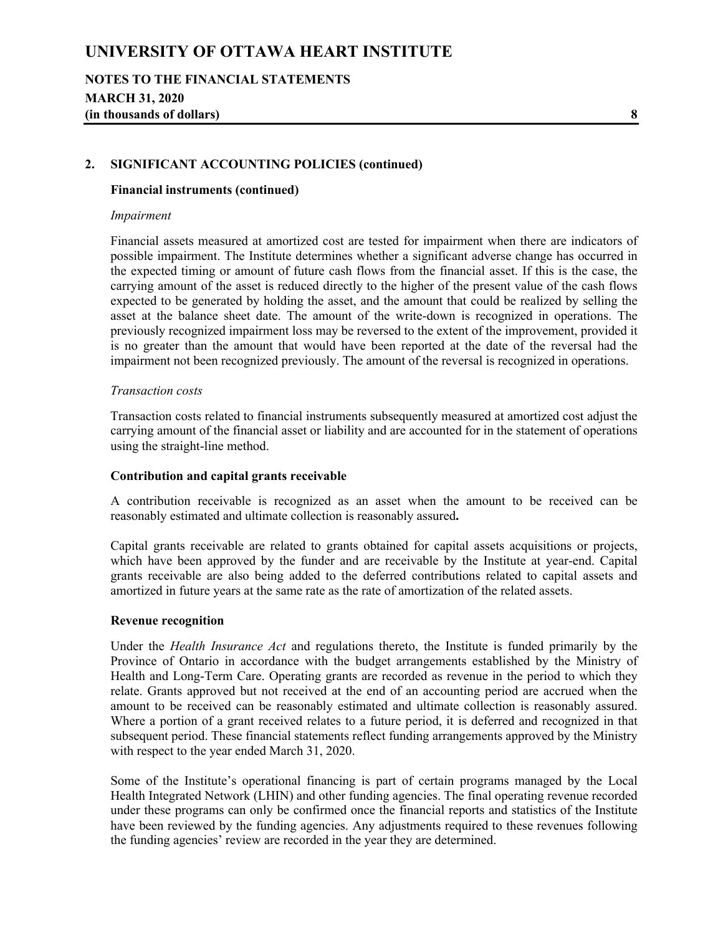**NOTES TO THE FINANCIAL STATEMENTS**

#### **MARCH 31, 2020 (in thousands of dollars)**

**8**

### **2. SIGNIFICANT ACCOUNTING POLICIES (continued)**

#### **Financial instruments (continued)**

#### *Impairment*

Financial assets measured at amortized cost are tested for impairment when there are indicators of possible impairment. The Institute determines whether a significant adverse change has occurred in the expected timing or amount of future cash flows from the financial asset. If this is the case, the carrying amount of the asset is reduced directly to the higher of the present value of the cash flows expected to be generated by holding the asset, and the amount that could be realized by selling the asset at the balance sheet date. The amount of the write-down is recognized in operations. The previously recognized impairment loss may be reversed to the extent of the improvement, provided it is no greater than the amount that would have been reported at the date of the reversal had the impairment not been recognized previously. The amount of the reversal is recognized in operations.

#### *Transaction costs*

Transaction costs related to financial instruments subsequently measured at amortized cost adjust the carrying amount of the financial asset or liability and are accounted for in the statement of operations using the straight-line method.

### **Contribution and capital grants receivable**

A contribution receivable is recognized as an asset when the amount to be received can be reasonably estimated and ultimate collection is reasonably assured**.**

Capital grants receivable are related to grants obtained for capital assets acquisitions or projects, which have been approved by the funder and are receivable by the Institute at year-end. Capital grants receivable are also being added to the deferred contributions related to capital assets and amortized in future years at the same rate as the rate of amortization of the related assets.

#### **Revenue recognition**

Under the *Health Insurance Act* and regulations thereto, the Institute is funded primarily by the Province of Ontario in accordance with the budget arrangements established by the Ministry of Health and Long-Term Care. Operating grants are recorded as revenue in the period to which they relate. Grants approved but not received at the end of an accounting period are accrued when the amount to be received can be reasonably estimated and ultimate collection is reasonably assured. Where a portion of a grant received relates to a future period, it is deferred and recognized in that subsequent period. These financial statements reflect funding arrangements approved by the Ministry with respect to the year ended March 31, 2020.

Some of the Institute's operational financing is part of certain programs managed by the Local Health Integrated Network (LHIN) and other funding agencies. The final operating revenue recorded under these programs can only be confirmed once the financial reports and statistics of the Institute have been reviewed by the funding agencies. Any adjustments required to these revenues following the funding agencies' review are recorded in the year they are determined.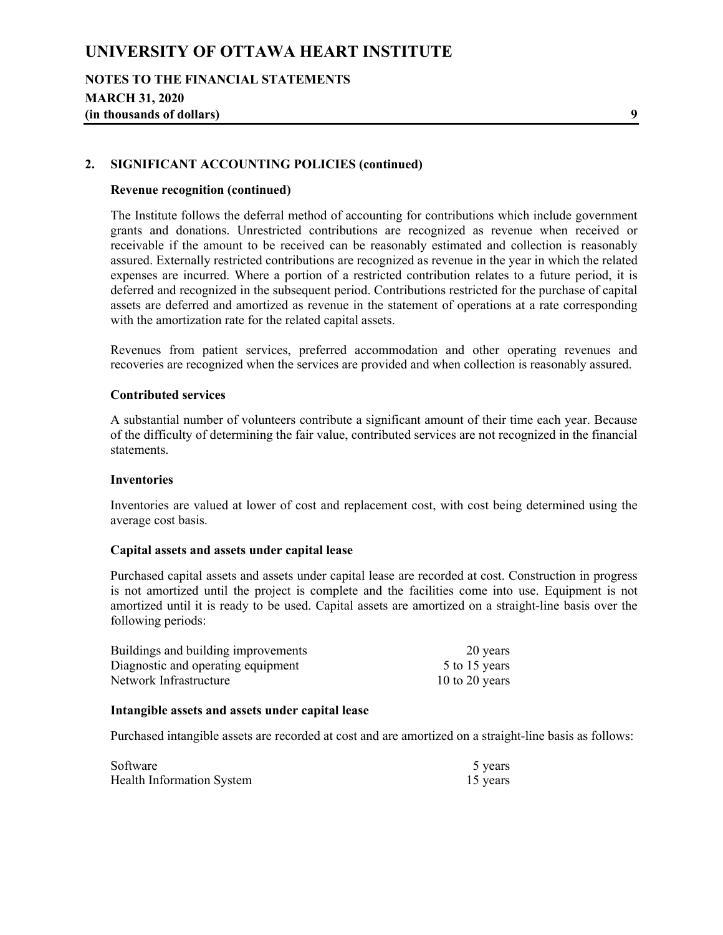#### **NOTES TO THE FINANCIAL STATEMENTS**

## **MARCH 31, 2020 (in thousands of dollars)**

### **2. SIGNIFICANT ACCOUNTING POLICIES (continued)**

#### **Revenue recognition (continued)**

The Institute follows the deferral method of accounting for contributions which include government grants and donations. Unrestricted contributions are recognized as revenue when received or receivable if the amount to be received can be reasonably estimated and collection is reasonably assured. Externally restricted contributions are recognized as revenue in the year in which the related expenses are incurred. Where a portion of a restricted contribution relates to a future period, it is deferred and recognized in the subsequent period. Contributions restricted for the purchase of capital assets are deferred and amortized as revenue in the statement of operations at a rate corresponding with the amortization rate for the related capital assets.

Revenues from patient services, preferred accommodation and other operating revenues and recoveries are recognized when the services are provided and when collection is reasonably assured.

#### **Contributed services**

A substantial number of volunteers contribute a significant amount of their time each year. Because of the difficulty of determining the fair value, contributed services are not recognized in the financial statements.

### **Inventories**

Inventories are valued at lower of cost and replacement cost, with cost being determined using the average cost basis.

#### **Capital assets and assets under capital lease**

Purchased capital assets and assets under capital lease are recorded at cost. Construction in progress is not amortized until the project is complete and the facilities come into use. Equipment is not amortized until it is ready to be used. Capital assets are amortized on a straight-line basis over the following periods:

| Buildings and building improvements | 20 years       |
|-------------------------------------|----------------|
| Diagnostic and operating equipment  | 5 to 15 years  |
| Network Infrastructure              | 10 to 20 years |

#### **Intangible assets and assets under capital lease**

Purchased intangible assets are recorded at cost and are amortized on a straight-line basis as follows:

| Software                         | 5 years  |
|----------------------------------|----------|
| <b>Health Information System</b> | 15 years |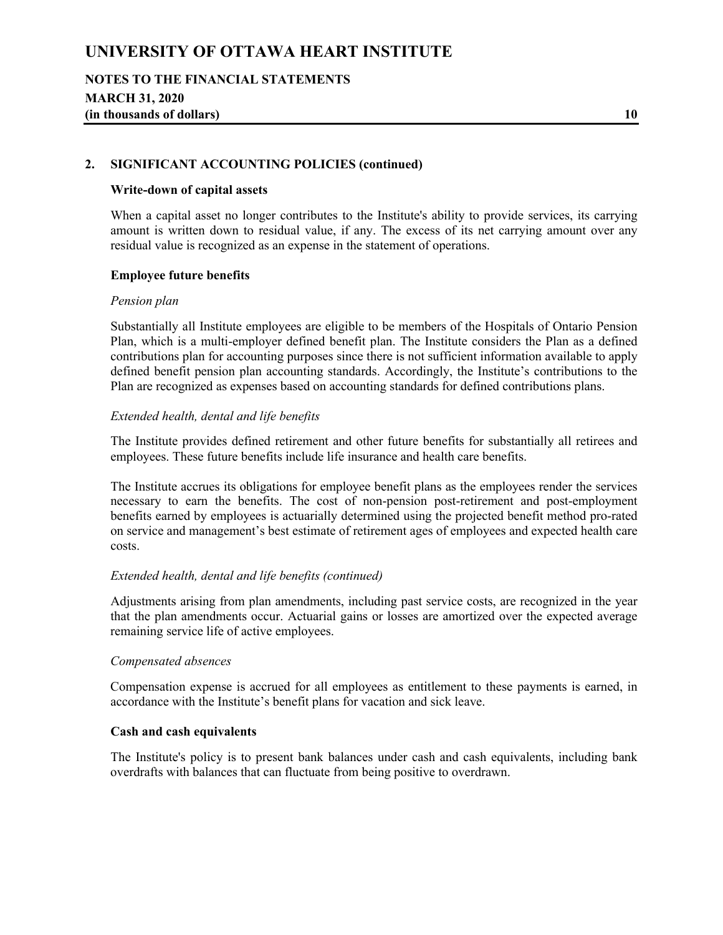**NOTES TO THE FINANCIAL STATEMENTS**

### **MARCH 31, 2020 (in thousands of dollars)**

### **2. SIGNIFICANT ACCOUNTING POLICIES (continued)**

#### **Write-down of capital assets**

When a capital asset no longer contributes to the Institute's ability to provide services, its carrying amount is written down to residual value, if any. The excess of its net carrying amount over any residual value is recognized as an expense in the statement of operations.

### **Employee future benefits**

#### *Pension plan*

Substantially all Institute employees are eligible to be members of the Hospitals of Ontario Pension Plan, which is a multi-employer defined benefit plan. The Institute considers the Plan as a defined contributions plan for accounting purposes since there is not sufficient information available to apply defined benefit pension plan accounting standards. Accordingly, the Institute's contributions to the Plan are recognized as expenses based on accounting standards for defined contributions plans.

### *Extended health, dental and life benefits*

The Institute provides defined retirement and other future benefits for substantially all retirees and employees. These future benefits include life insurance and health care benefits.

The Institute accrues its obligations for employee benefit plans as the employees render the services necessary to earn the benefits. The cost of non-pension post-retirement and post-employment benefits earned by employees is actuarially determined using the projected benefit method pro-rated on service and management's best estimate of retirement ages of employees and expected health care costs.

### *Extended health, dental and life benefits (continued)*

Adjustments arising from plan amendments, including past service costs, are recognized in the year that the plan amendments occur. Actuarial gains or losses are amortized over the expected average remaining service life of active employees.

#### *Compensated absences*

Compensation expense is accrued for all employees as entitlement to these payments is earned, in accordance with the Institute's benefit plans for vacation and sick leave.

### **Cash and cash equivalents**

The Institute's policy is to present bank balances under cash and cash equivalents, including bank overdrafts with balances that can fluctuate from being positive to overdrawn.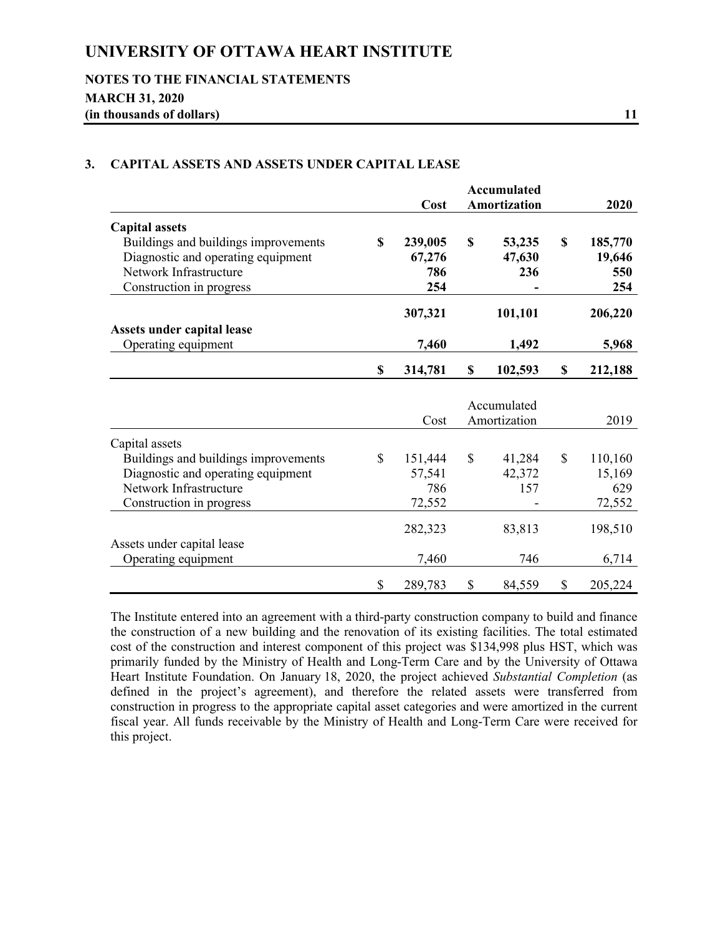## **NOTES TO THE FINANCIAL STATEMENTS MARCH 31, 2020 (in thousands of dollars) 11**

### **3. CAPITAL ASSETS AND ASSETS UNDER CAPITAL LEASE**

|                                      | Cost          | <b>Accumulated</b><br><b>Amortization</b> |              | 2020    |
|--------------------------------------|---------------|-------------------------------------------|--------------|---------|
| <b>Capital assets</b>                |               |                                           |              |         |
| Buildings and buildings improvements | \$<br>239,005 | \$<br>53,235                              | \$           | 185,770 |
| Diagnostic and operating equipment   | 67,276        | 47,630                                    |              | 19,646  |
| Network Infrastructure               | 786           | 236                                       |              | 550     |
| Construction in progress             | 254           |                                           |              | 254     |
|                                      | 307,321       | 101,101                                   |              | 206,220 |
| Assets under capital lease           |               |                                           |              |         |
| Operating equipment                  | 7,460         | 1,492                                     |              | 5,968   |
|                                      | \$<br>314,781 | \$<br>102,593                             | \$           | 212,188 |
|                                      |               |                                           |              |         |
|                                      |               | Accumulated                               |              |         |
|                                      | Cost          | Amortization                              |              | 2019    |
| Capital assets                       |               |                                           |              |         |
| Buildings and buildings improvements | \$<br>151,444 | \$<br>41,284                              | $\mathbb{S}$ | 110,160 |
| Diagnostic and operating equipment   | 57,541        | 42,372                                    |              | 15,169  |
| Network Infrastructure               | 786           | 157                                       |              | 629     |
| Construction in progress             | 72,552        |                                           |              | 72,552  |
|                                      | 282,323       | 83,813                                    |              | 198,510 |
| Assets under capital lease           |               |                                           |              |         |
| Operating equipment                  | 7,460         | 746                                       |              | 6,714   |
|                                      | \$<br>289,783 | \$<br>84,559                              | \$           | 205,224 |

The Institute entered into an agreement with a third-party construction company to build and finance the construction of a new building and the renovation of its existing facilities. The total estimated cost of the construction and interest component of this project was \$134,998 plus HST, which was primarily funded by the Ministry of Health and Long-Term Care and by the University of Ottawa Heart Institute Foundation. On January 18, 2020, the project achieved *Substantial Completion* (as defined in the project's agreement), and therefore the related assets were transferred from construction in progress to the appropriate capital asset categories and were amortized in the current fiscal year. All funds receivable by the Ministry of Health and Long-Term Care were received for this project.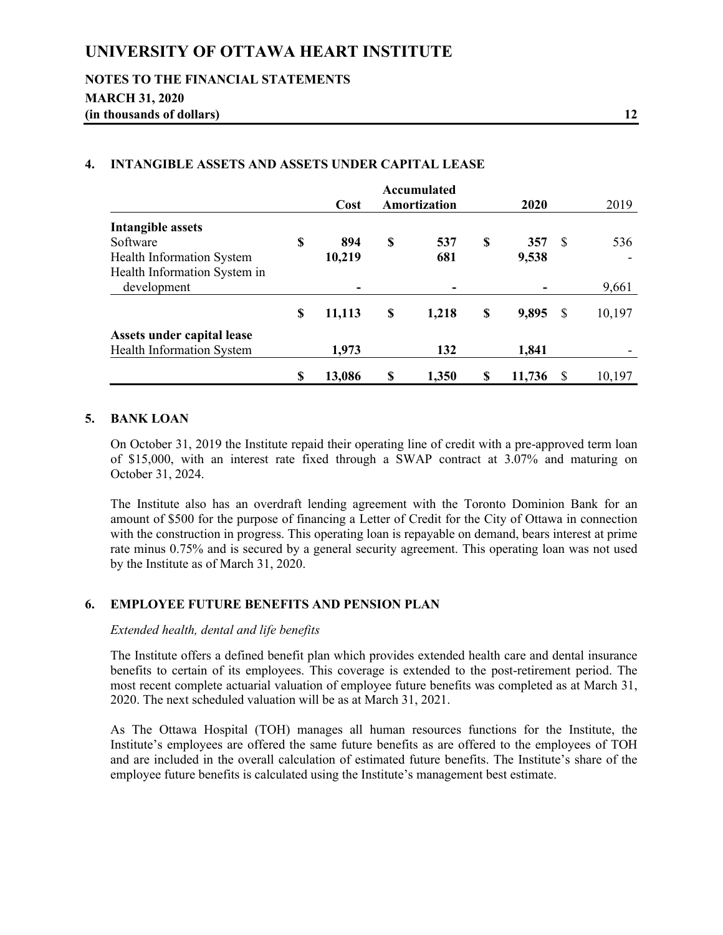## **NOTES TO THE FINANCIAL STATEMENTS MARCH 31, 2020 (in thousands of dollars)**

|                                  |    | Cost   | Accumulated<br>Amortization |    | 2020   |              | 2019   |
|----------------------------------|----|--------|-----------------------------|----|--------|--------------|--------|
| Intangible assets                |    |        |                             |    |        |              |        |
| Software                         | \$ | 894    | \$<br>537                   | S  | 357    | S            | 536    |
| <b>Health Information System</b> |    | 10,219 | 681                         |    | 9,538  |              |        |
| Health Information System in     |    |        |                             |    |        |              |        |
| development                      |    |        |                             |    |        |              | 9,661  |
|                                  | S  | 11,113 | \$<br>1,218                 | \$ | 9,895  | $\mathbb{S}$ | 10,197 |
| Assets under capital lease       |    |        |                             |    |        |              |        |
| Health Information System        |    | 1,973  | 132                         |    | 1,841  |              |        |
|                                  | S  | 13,086 | \$<br>1,350                 | S  | 11,736 | \$.          | 10,197 |

## **4. INTANGIBLE ASSETS AND ASSETS UNDER CAPITAL LEASE**

#### **5. BANK LOAN**

On October 31, 2019 the Institute repaid their operating line of credit with a pre-approved term loan of \$15,000, with an interest rate fixed through a SWAP contract at 3.07% and maturing on October 31, 2024.

The Institute also has an overdraft lending agreement with the Toronto Dominion Bank for an amount of \$500 for the purpose of financing a Letter of Credit for the City of Ottawa in connection with the construction in progress. This operating loan is repayable on demand, bears interest at prime rate minus 0.75% and is secured by a general security agreement. This operating loan was not used by the Institute as of March 31, 2020.

## **6. EMPLOYEE FUTURE BENEFITS AND PENSION PLAN**

#### *Extended health, dental and life benefits*

The Institute offers a defined benefit plan which provides extended health care and dental insurance benefits to certain of its employees. This coverage is extended to the post-retirement period. The most recent complete actuarial valuation of employee future benefits was completed as at March 31, 2020. The next scheduled valuation will be as at March 31, 2021.

As The Ottawa Hospital (TOH) manages all human resources functions for the Institute, the Institute's employees are offered the same future benefits as are offered to the employees of TOH and are included in the overall calculation of estimated future benefits. The Institute's share of the employee future benefits is calculated using the Institute's management best estimate.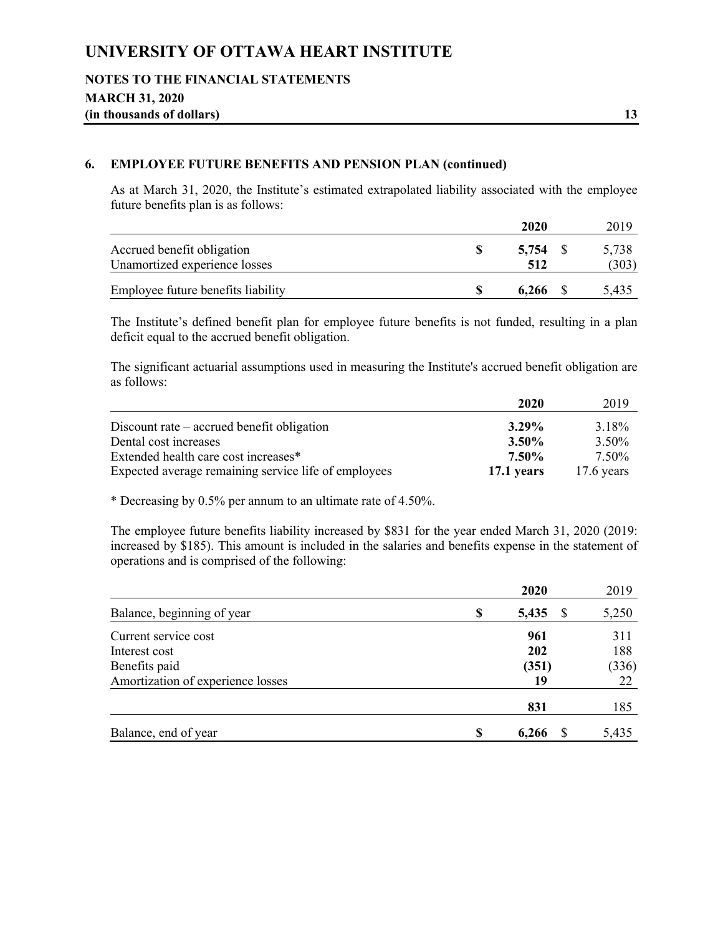### **NOTES TO THE FINANCIAL STATEMENTS**

| <b>MARCH 31, 2020</b>     |  |  |
|---------------------------|--|--|
| (in thousands of dollars) |  |  |

## **6. EMPLOYEE FUTURE BENEFITS AND PENSION PLAN (continued)**

As at March 31, 2020, the Institute's estimated extrapolated liability associated with the employee future benefits plan is as follows:

|                                                             | 2020           | 2019           |
|-------------------------------------------------------------|----------------|----------------|
| Accrued benefit obligation<br>Unamortized experience losses | 5.754 S<br>512 | 5.738<br>(303) |
| Employee future benefits liability                          | 6.266          | 5.435          |

The Institute's defined benefit plan for employee future benefits is not funded, resulting in a plan deficit equal to the accrued benefit obligation.

The significant actuarial assumptions used in measuring the Institute's accrued benefit obligation are as follows:

|                                                      | 2020       | 2019         |
|------------------------------------------------------|------------|--------------|
| Discount rate $-$ accrued benefit obligation         | $3.29\%$   | 3.18%        |
| Dental cost increases                                | $3.50\%$   | 3.50%        |
| Extended health care cost increases <sup>*</sup>     | 7.50%      | 7.50%        |
| Expected average remaining service life of employees | 17.1 years | $17.6$ years |

\* Decreasing by 0.5% per annum to an ultimate rate of 4.50%.

The employee future benefits liability increased by \$831 for the year ended March 31, 2020 (2019: increased by \$185). This amount is included in the salaries and benefits expense in the statement of operations and is comprised of the following:

|                                   | 2020              | 2019  |
|-----------------------------------|-------------------|-------|
| Balance, beginning of year        | \$<br>5,435<br>-8 | 5,250 |
| Current service cost              | 961               | 311   |
| Interest cost                     | 202               | 188   |
| Benefits paid                     | (351)             | (336) |
| Amortization of experience losses | 19                | 22    |
|                                   | 831               | 185   |
| Balance, end of year              | \$<br>6,266<br>S  | 5,435 |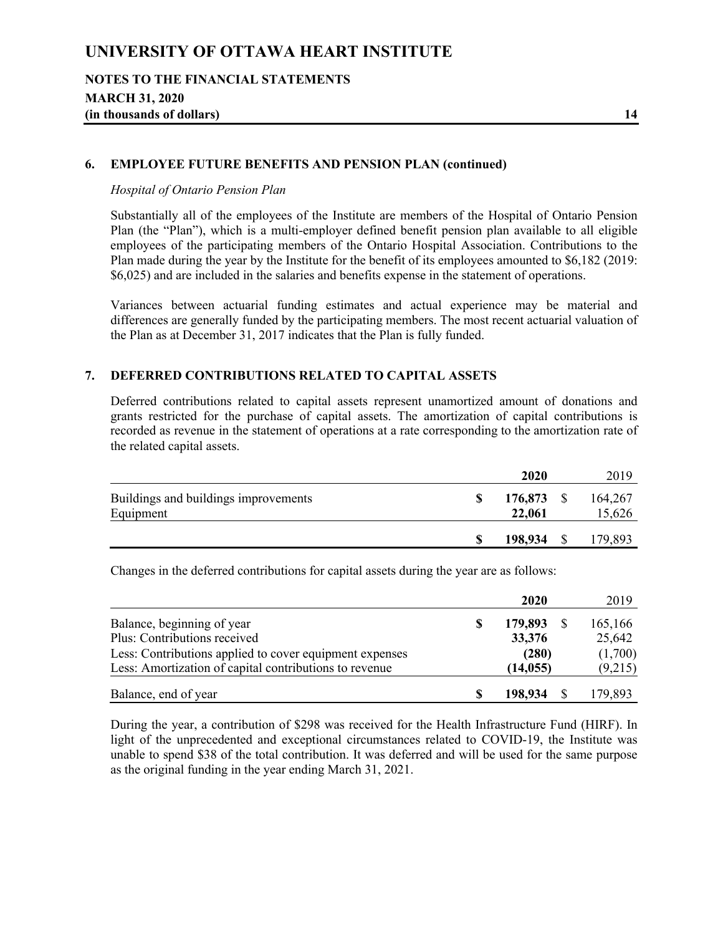## **NOTES TO THE FINANCIAL STATEMENTS**

### **MARCH 31, 2020 (in thousands of dollars)**

### **6. EMPLOYEE FUTURE BENEFITS AND PENSION PLAN (continued)**

### *Hospital of Ontario Pension Plan*

Substantially all of the employees of the Institute are members of the Hospital of Ontario Pension Plan (the "Plan"), which is a multi-employer defined benefit pension plan available to all eligible employees of the participating members of the Ontario Hospital Association. Contributions to the Plan made during the year by the Institute for the benefit of its employees amounted to \$6,182 (2019: \$6,025) and are included in the salaries and benefits expense in the statement of operations.

Variances between actuarial funding estimates and actual experience may be material and differences are generally funded by the participating members. The most recent actuarial valuation of the Plan as at December 31, 2017 indicates that the Plan is fully funded.

### **7. DEFERRED CONTRIBUTIONS RELATED TO CAPITAL ASSETS**

Deferred contributions related to capital assets represent unamortized amount of donations and grants restricted for the purchase of capital assets. The amortization of capital contributions is recorded as revenue in the statement of operations at a rate corresponding to the amortization rate of the related capital assets.

|                                                   | 2020                   | 2019              |
|---------------------------------------------------|------------------------|-------------------|
| Buildings and buildings improvements<br>Equipment | $176,873$ \$<br>22,061 | 164,267<br>15,626 |
|                                                   | 198,934                | 179,893           |

Changes in the deferred contributions for capital assets during the year are as follows:

|                                                         |    | 2020      | 2019    |
|---------------------------------------------------------|----|-----------|---------|
| Balance, beginning of year                              | \$ | 179,893   | 165,166 |
| Plus: Contributions received                            |    | 33,376    | 25,642  |
| Less: Contributions applied to cover equipment expenses |    | (280)     | (1,700) |
| Less: Amortization of capital contributions to revenue  |    | (14, 055) | (9,215) |
| Balance, end of year                                    | S  | 198,934   | 179,893 |

During the year, a contribution of \$298 was received for the Health Infrastructure Fund (HIRF). In light of the unprecedented and exceptional circumstances related to COVID-19, the Institute was unable to spend \$38 of the total contribution. It was deferred and will be used for the same purpose as the original funding in the year ending March 31, 2021.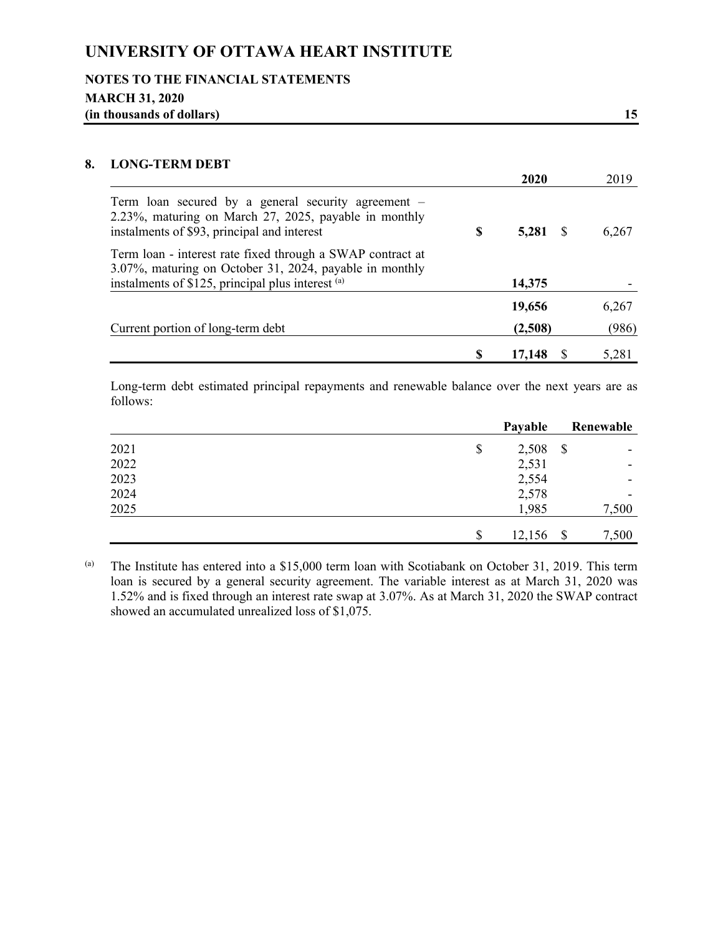**NOTES TO THE FINANCIAL STATEMENTS**

## **MARCH 31, 2020**

**(in thousands of dollars) 15**

### **8. LONG-TERM DEBT**

|                                                                                                                                                                            |   | 2020       | 2019  |
|----------------------------------------------------------------------------------------------------------------------------------------------------------------------------|---|------------|-------|
| Term loan secured by a general security agreement $-$<br>2.23%, maturing on March 27, 2025, payable in monthly<br>instalments of \$93, principal and interest              | S | $5,281$ \$ | 6,267 |
| Term loan - interest rate fixed through a SWAP contract at<br>3.07%, maturing on October 31, 2024, payable in monthly<br>instalments of \$125, principal plus interest (a) |   | 14,375     |       |
|                                                                                                                                                                            |   | 19,656     | 6,267 |
| Current portion of long-term debt                                                                                                                                          |   | (2,508)    | (986) |
|                                                                                                                                                                            | S | 17,148     | 5,281 |

Long-term debt estimated principal repayments and renewable balance over the next years are as follows:

|      | Payable           | Renewable                        |
|------|-------------------|----------------------------------|
| 2021 | \$<br>2,508       | - \$<br>$\overline{\phantom{a}}$ |
| 2022 | 2,531             | $\overline{\phantom{a}}$         |
| 2023 | 2,554             | $\overline{\phantom{0}}$         |
| 2024 | 2,578             | $\overline{\phantom{0}}$         |
| 2025 | 1,985             | 7,500                            |
|      | \$<br>$12,156$ \$ | 7,500                            |

(a) The Institute has entered into a \$15,000 term loan with Scotiabank on October 31, 2019. This term loan is secured by a general security agreement. The variable interest as at March 31, 2020 was 1.52% and is fixed through an interest rate swap at 3.07%. As at March 31, 2020 the SWAP contract showed an accumulated unrealized loss of \$1,075.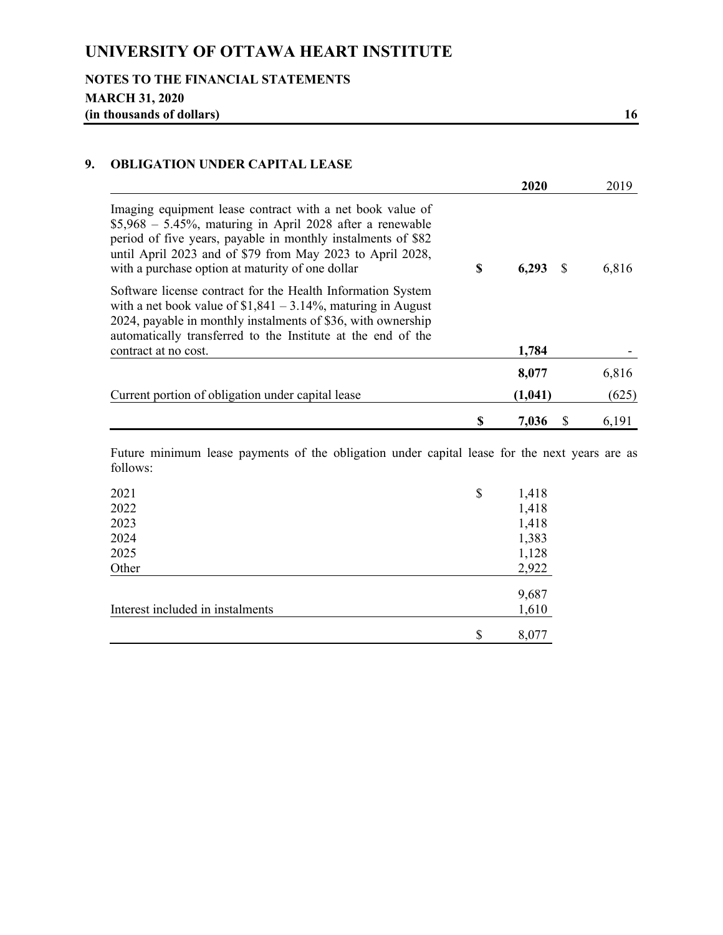**NOTES TO THE FINANCIAL STATEMENTS**

## **MARCH 31, 2020 (in thousands of dollars) 16**

## **9. OBLIGATION UNDER CAPITAL LEASE**

|                                                                                                                                                                                                                                                                                                            |    | 2020        | 2019  |
|------------------------------------------------------------------------------------------------------------------------------------------------------------------------------------------------------------------------------------------------------------------------------------------------------------|----|-------------|-------|
| Imaging equipment lease contract with a net book value of<br>$$5,968 - 5.45\%$ , maturing in April 2028 after a renewable<br>period of five years, payable in monthly instalments of \$82<br>until April 2023 and of \$79 from May 2023 to April 2028,<br>with a purchase option at maturity of one dollar | \$ | -S<br>6,293 | 6,816 |
| Software license contract for the Health Information System<br>with a net book value of $$1,841 - 3.14\%$ , maturing in August<br>2024, payable in monthly instalments of \$36, with ownership<br>automatically transferred to the Institute at the end of the                                             |    |             |       |
| contract at no cost.                                                                                                                                                                                                                                                                                       |    | 1,784       |       |
|                                                                                                                                                                                                                                                                                                            |    | 8,077       | 6,816 |
| Current portion of obligation under capital lease                                                                                                                                                                                                                                                          |    | (1,041)     | (625) |
|                                                                                                                                                                                                                                                                                                            | S  | 7,036       | 6,191 |

Future minimum lease payments of the obligation under capital lease for the next years are as follows:

| 2021                             | \$<br>1,418 |
|----------------------------------|-------------|
| 2022                             | 1,418       |
| 2023                             | 1,418       |
| 2024                             | 1,383       |
| 2025                             | 1,128       |
| Other                            | 2,922       |
|                                  | 9,687       |
| Interest included in instalments | 1,610       |
|                                  | \$<br>8,077 |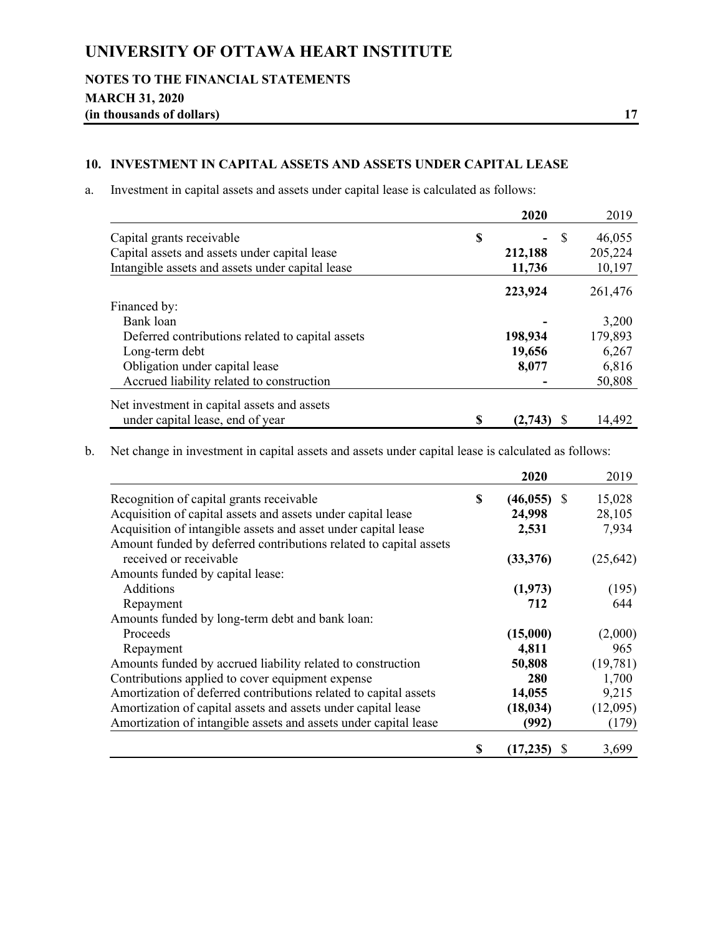## **NOTES TO THE FINANCIAL STATEMENTS**

## **MARCH 31, 2020 (in thousands of dollars)**

## **10. INVESTMENT IN CAPITAL ASSETS AND ASSETS UNDER CAPITAL LEASE**

a. Investment in capital assets and assets under capital lease is calculated as follows:

|                                                  | 2020          | 2019    |
|--------------------------------------------------|---------------|---------|
| Capital grants receivable                        | \$<br>\$<br>۰ | 46,055  |
| Capital assets and assets under capital lease    | 212,188       | 205,224 |
| Intangible assets and assets under capital lease | 11,736        | 10,197  |
|                                                  | 223,924       | 261,476 |
| Financed by:                                     |               |         |
| Bank loan                                        |               | 3,200   |
| Deferred contributions related to capital assets | 198,934       | 179,893 |
| Long-term debt                                   | 19,656        | 6,267   |
| Obligation under capital lease                   | 8,077         | 6,816   |
| Accrued liability related to construction        |               | 50,808  |
| Net investment in capital assets and assets      |               |         |
| under capital lease, end of year                 | \$<br>(2,743) | 14,492  |

b. Net change in investment in capital assets and assets under capital lease is calculated as follows:

|                                                                   |    | 2020           | 2019      |
|-------------------------------------------------------------------|----|----------------|-----------|
| Recognition of capital grants receivable                          | \$ | $(46, 055)$ \$ | 15,028    |
| Acquisition of capital assets and assets under capital lease      |    | 24,998         | 28,105    |
| Acquisition of intangible assets and asset under capital lease    |    | 2,531          | 7,934     |
| Amount funded by deferred contributions related to capital assets |    |                |           |
| received or receivable                                            |    | (33,376)       | (25, 642) |
| Amounts funded by capital lease:                                  |    |                |           |
| Additions                                                         |    | (1,973)        | (195)     |
| Repayment                                                         |    | 712            | 644       |
| Amounts funded by long-term debt and bank loan:                   |    |                |           |
| Proceeds                                                          |    | (15,000)       | (2,000)   |
| Repayment                                                         |    | 4,811          | 965       |
| Amounts funded by accrued liability related to construction       |    | 50,808         | (19,781)  |
| Contributions applied to cover equipment expense                  |    | 280            | 1,700     |
| Amortization of deferred contributions related to capital assets  |    | 14,055         | 9,215     |
| Amortization of capital assets and assets under capital lease     |    | (18, 034)      | (12,095)  |
| Amortization of intangible assets and assets under capital lease  |    | (992)          | (179)     |
|                                                                   | S  | (17, 235)      | 3,699     |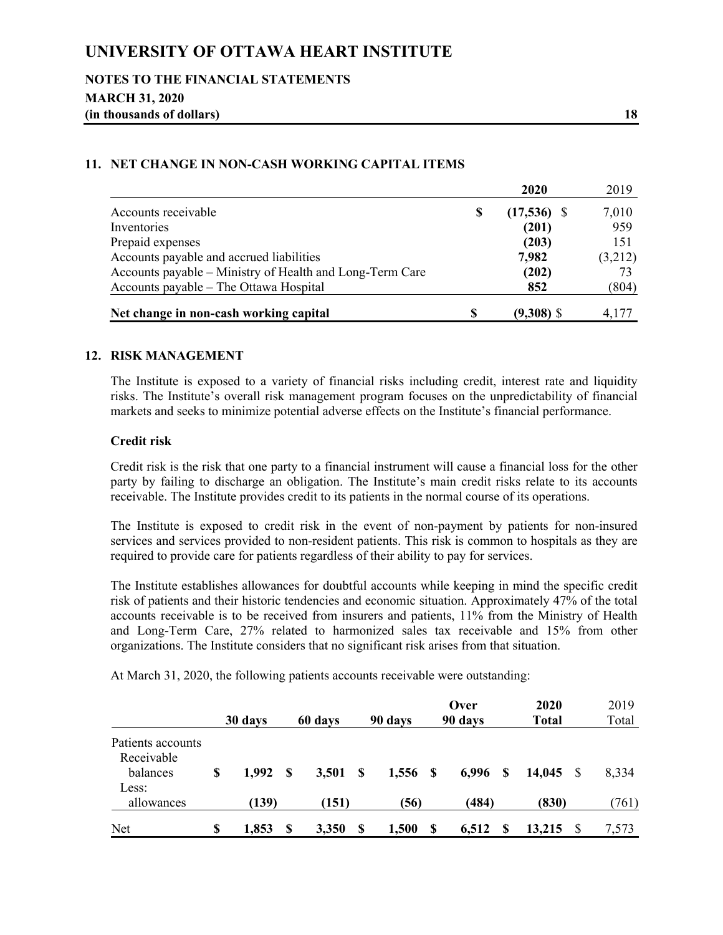## **NOTES TO THE FINANCIAL STATEMENTS MARCH 31, 2020 (in thousands of dollars)**

## **2020** 2019 Accounts receivable **\$ (17,536)** \$ 7,010 Inventories **(201)** 959 Prepaid expenses **(203)** 151 Accounts payable and accrued liabilities **7,982** (3,212) Accounts payable – Ministry of Health and Long-Term Care **(202)** 73 Accounts payable – The Ottawa Hospital **852** (804) **Net change in non-cash working capital \$ (9,308)** \$ 4,177

## **11. NET CHANGE IN NON-CASH WORKING CAPITAL ITEMS**

### **12. RISK MANAGEMENT**

The Institute is exposed to a variety of financial risks including credit, interest rate and liquidity risks. The Institute's overall risk management program focuses on the unpredictability of financial markets and seeks to minimize potential adverse effects on the Institute's financial performance.

#### **Credit risk**

Credit risk is the risk that one party to a financial instrument will cause a financial loss for the other party by failing to discharge an obligation. The Institute's main credit risks relate to its accounts receivable. The Institute provides credit to its patients in the normal course of its operations.

The Institute is exposed to credit risk in the event of non-payment by patients for non-insured services and services provided to non-resident patients. This risk is common to hospitals as they are required to provide care for patients regardless of their ability to pay for services.

The Institute establishes allowances for doubtful accounts while keeping in mind the specific credit risk of patients and their historic tendencies and economic situation. Approximately 47% of the total accounts receivable is to be received from insurers and patients, 11% from the Ministry of Health and Long-Term Care, 27% related to harmonized sales tax receivable and 15% from other organizations. The Institute considers that no significant risk arises from that situation.

At March 31, 2020, the following patients accounts receivable were outstanding:

|                                 |    | 30 days |      | 60 days |             | 90 days |      | Over<br>90 days | 2020<br><b>Total</b> |    | 2019<br>Total |
|---------------------------------|----|---------|------|---------|-------------|---------|------|-----------------|----------------------|----|---------------|
| Patients accounts<br>Receivable |    |         |      |         |             |         |      |                 |                      |    |               |
| balances<br>Less:               | \$ | 1,992   | - \$ | 3,501   | $\mathbf S$ | 1,556   | - \$ | 6,996<br>- S    | 14,045               | -S | 8,334         |
| allowances                      |    | (139)   |      | (151)   |             | (56)    |      | (484)           | (830)                |    | (761)         |
| Net                             | S  | 1,853   |      | 3,350   |             | 1,500   |      | 6,512           | 13,215               |    | 7,573         |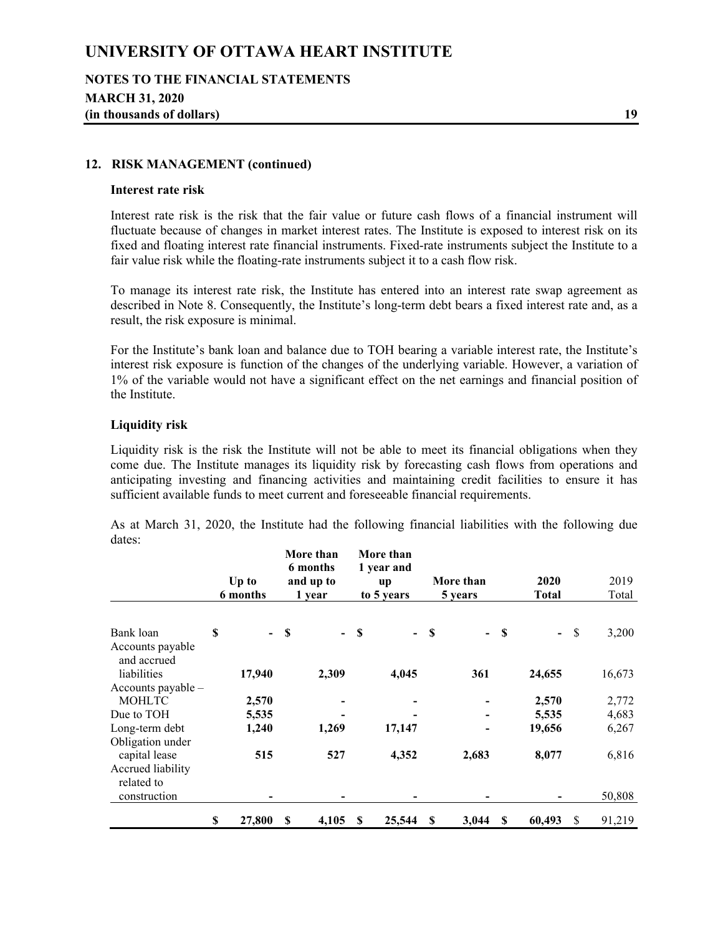**NOTES TO THE FINANCIAL STATEMENTS**

### **MARCH 31, 2020 (in thousands of dollars)**

### **12. RISK MANAGEMENT (continued)**

#### **Interest rate risk**

Interest rate risk is the risk that the fair value or future cash flows of a financial instrument will fluctuate because of changes in market interest rates. The Institute is exposed to interest risk on its fixed and floating interest rate financial instruments. Fixed-rate instruments subject the Institute to a fair value risk while the floating-rate instruments subject it to a cash flow risk.

To manage its interest rate risk, the Institute has entered into an interest rate swap agreement as described in Note 8. Consequently, the Institute's long-term debt bears a fixed interest rate and, as a result, the risk exposure is minimal.

For the Institute's bank loan and balance due to TOH bearing a variable interest rate, the Institute's interest risk exposure is function of the changes of the underlying variable. However, a variation of 1% of the variable would not have a significant effect on the net earnings and financial position of the Institute.

#### **Liquidity risk**

Liquidity risk is the risk the Institute will not be able to meet its financial obligations when they come due. The Institute manages its liquidity risk by forecasting cash flows from operations and anticipating investing and financing activities and maintaining credit facilities to ensure it has sufficient available funds to meet current and foreseeable financial requirements.

|                                 | Up to<br>6 months |        |    |                          |    | More than<br>6 months<br>and up to<br>1 year |      | More than<br>1 year and<br>up<br>to 5 years |      | More than<br>5 years |        | 2020<br><b>Total</b> |  | 2019<br>Total |
|---------------------------------|-------------------|--------|----|--------------------------|----|----------------------------------------------|------|---------------------------------------------|------|----------------------|--------|----------------------|--|---------------|
|                                 |                   |        |    |                          |    |                                              |      |                                             |      |                      |        |                      |  |               |
| Bank loan                       | <b>S</b>          |        | \$ | $\overline{\phantom{0}}$ | -S |                                              | - \$ | $\overline{a}$                              | - \$ |                      | $-$ \$ | 3,200                |  |               |
| Accounts payable<br>and accrued |                   |        |    |                          |    |                                              |      |                                             |      |                      |        |                      |  |               |
| liabilities                     |                   | 17,940 |    | 2,309                    |    | 4,045                                        |      | 361                                         |      | 24,655               |        | 16,673               |  |               |
| Accounts payable -              |                   |        |    |                          |    |                                              |      |                                             |      |                      |        |                      |  |               |
| <b>MOHLTC</b>                   |                   | 2,570  |    |                          |    |                                              |      |                                             |      | 2,570                |        | 2,772                |  |               |
| Due to TOH                      |                   | 5,535  |    |                          |    |                                              |      |                                             |      | 5,535                |        | 4,683                |  |               |
| Long-term debt                  |                   | 1,240  |    | 1,269                    |    | 17,147                                       |      |                                             |      | 19,656               |        | 6,267                |  |               |
| Obligation under                |                   |        |    |                          |    |                                              |      |                                             |      |                      |        |                      |  |               |
| capital lease                   |                   | 515    |    | 527                      |    | 4,352                                        |      | 2,683                                       |      | 8,077                |        | 6,816                |  |               |
| Accrued liability               |                   |        |    |                          |    |                                              |      |                                             |      |                      |        |                      |  |               |
| related to                      |                   |        |    |                          |    |                                              |      |                                             |      |                      |        |                      |  |               |
| construction                    |                   |        |    |                          |    |                                              |      |                                             |      |                      |        | 50,808               |  |               |
|                                 | \$                | 27,800 | S  | 4,105                    | S  | 25,544                                       | -S   | 3,044                                       | \$   | 60,493               | \$     | 91,219               |  |               |

As at March 31, 2020, the Institute had the following financial liabilities with the following due dates: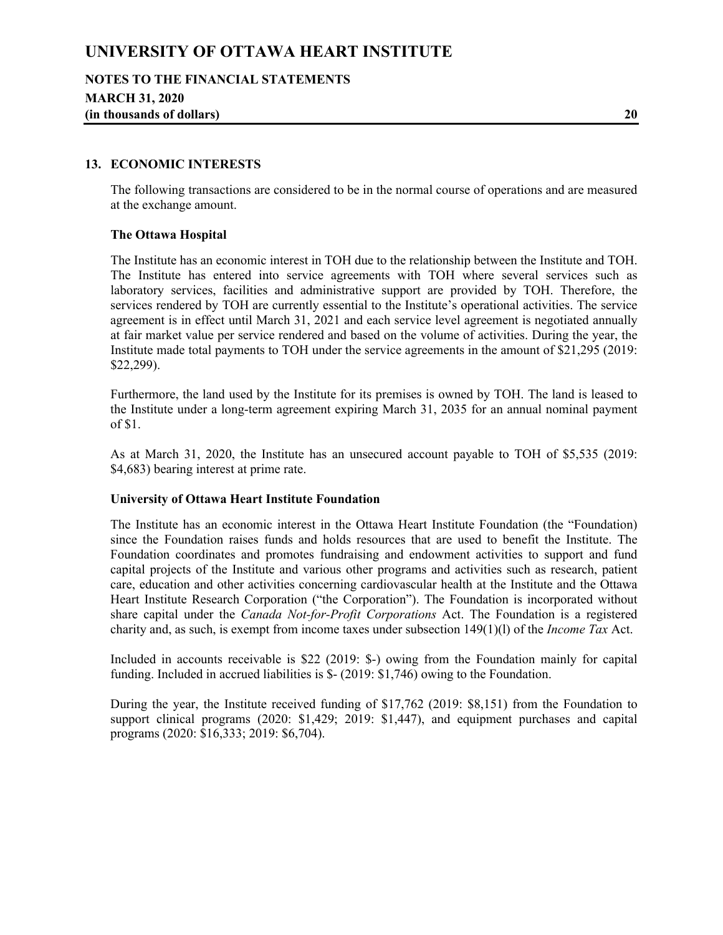**NOTES TO THE FINANCIAL STATEMENTS**

### **MARCH 31, 2020 (in thousands of dollars)**

### **13. ECONOMIC INTERESTS**

The following transactions are considered to be in the normal course of operations and are measured at the exchange amount.

### **The Ottawa Hospital**

The Institute has an economic interest in TOH due to the relationship between the Institute and TOH. The Institute has entered into service agreements with TOH where several services such as laboratory services, facilities and administrative support are provided by TOH. Therefore, the services rendered by TOH are currently essential to the Institute's operational activities. The service agreement is in effect until March 31, 2021 and each service level agreement is negotiated annually at fair market value per service rendered and based on the volume of activities. During the year, the Institute made total payments to TOH under the service agreements in the amount of \$21,295 (2019: \$22,299).

Furthermore, the land used by the Institute for its premises is owned by TOH. The land is leased to the Institute under a long-term agreement expiring March 31, 2035 for an annual nominal payment of \$1.

As at March 31, 2020, the Institute has an unsecured account payable to TOH of \$5,535 (2019: \$4,683) bearing interest at prime rate.

### **University of Ottawa Heart Institute Foundation**

The Institute has an economic interest in the Ottawa Heart Institute Foundation (the "Foundation) since the Foundation raises funds and holds resources that are used to benefit the Institute. The Foundation coordinates and promotes fundraising and endowment activities to support and fund capital projects of the Institute and various other programs and activities such as research, patient care, education and other activities concerning cardiovascular health at the Institute and the Ottawa Heart Institute Research Corporation ("the Corporation"). The Foundation is incorporated without share capital under the *Canada Not-for-Profit Corporations* Act. The Foundation is a registered charity and, as such, is exempt from income taxes under subsection 149(1)(l) of the *Income Tax* Act.

Included in accounts receivable is \$22 (2019: \$-) owing from the Foundation mainly for capital funding. Included in accrued liabilities is \$- (2019: \$1,746) owing to the Foundation.

During the year, the Institute received funding of \$17,762 (2019: \$8,151) from the Foundation to support clinical programs (2020: \$1,429; 2019: \$1,447), and equipment purchases and capital programs (2020: \$16,333; 2019: \$6,704).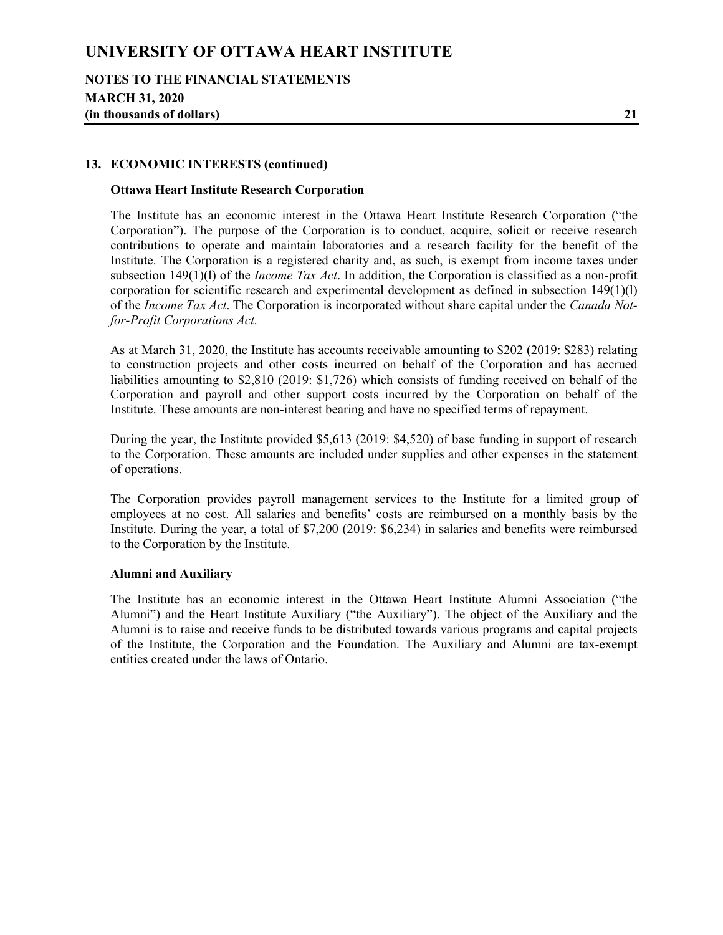**NOTES TO THE FINANCIAL STATEMENTS**

#### **MARCH 31, 2020 (in thousands of dollars)**

### **13. ECONOMIC INTERESTS (continued)**

### **Ottawa Heart Institute Research Corporation**

The Institute has an economic interest in the Ottawa Heart Institute Research Corporation ("the Corporation"). The purpose of the Corporation is to conduct, acquire, solicit or receive research contributions to operate and maintain laboratories and a research facility for the benefit of the Institute. The Corporation is a registered charity and, as such, is exempt from income taxes under subsection 149(1)(l) of the *Income Tax Act*. In addition, the Corporation is classified as a non-profit corporation for scientific research and experimental development as defined in subsection 149(1)(l) of the *Income Tax Act*. The Corporation is incorporated without share capital under the *Canada Notfor-Profit Corporations Act*.

As at March 31, 2020, the Institute has accounts receivable amounting to \$202 (2019: \$283) relating to construction projects and other costs incurred on behalf of the Corporation and has accrued liabilities amounting to \$2,810 (2019: \$1,726) which consists of funding received on behalf of the Corporation and payroll and other support costs incurred by the Corporation on behalf of the Institute. These amounts are non-interest bearing and have no specified terms of repayment.

During the year, the Institute provided \$5,613 (2019: \$4,520) of base funding in support of research to the Corporation. These amounts are included under supplies and other expenses in the statement of operations.

The Corporation provides payroll management services to the Institute for a limited group of employees at no cost. All salaries and benefits' costs are reimbursed on a monthly basis by the Institute. During the year, a total of \$7,200 (2019: \$6,234) in salaries and benefits were reimbursed to the Corporation by the Institute.

#### **Alumni and Auxiliary**

The Institute has an economic interest in the Ottawa Heart Institute Alumni Association ("the Alumni") and the Heart Institute Auxiliary ("the Auxiliary"). The object of the Auxiliary and the Alumni is to raise and receive funds to be distributed towards various programs and capital projects of the Institute, the Corporation and the Foundation. The Auxiliary and Alumni are tax-exempt entities created under the laws of Ontario.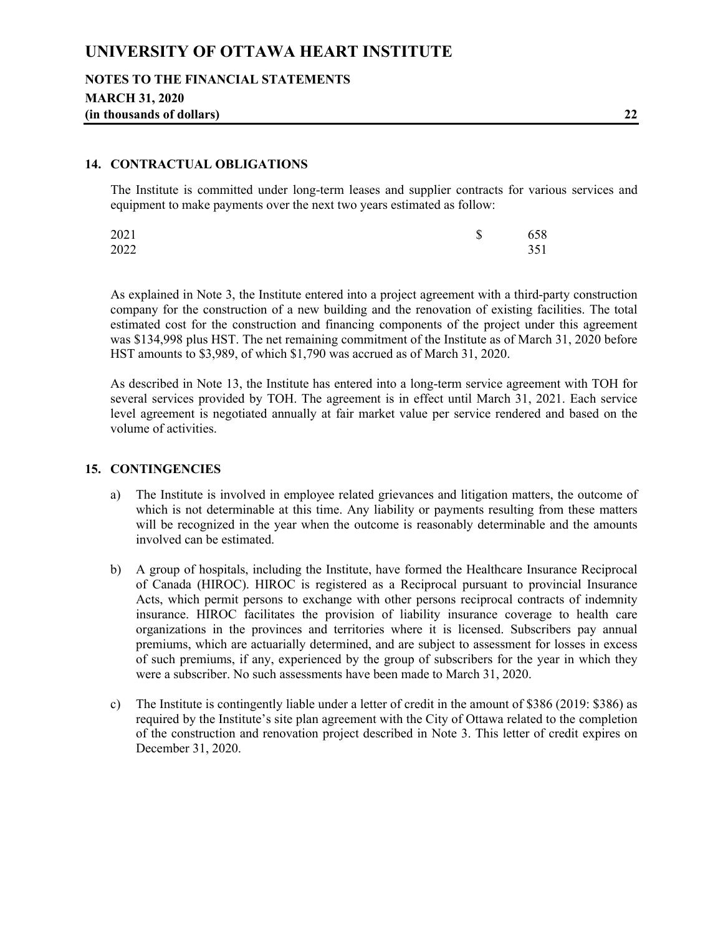**NOTES TO THE FINANCIAL STATEMENTS**

### **MARCH 31, 2020 (in thousands of dollars)**

### **14. CONTRACTUAL OBLIGATIONS**

The Institute is committed under long-term leases and supplier contracts for various services and equipment to make payments over the next two years estimated as follow:

| 2021 | D | 658 |
|------|---|-----|
| 2022 |   | 351 |

As explained in Note 3, the Institute entered into a project agreement with a third-party construction company for the construction of a new building and the renovation of existing facilities. The total estimated cost for the construction and financing components of the project under this agreement was \$134,998 plus HST. The net remaining commitment of the Institute as of March 31, 2020 before HST amounts to \$3,989, of which \$1,790 was accrued as of March 31, 2020.

As described in Note 13, the Institute has entered into a long-term service agreement with TOH for several services provided by TOH. The agreement is in effect until March 31, 2021. Each service level agreement is negotiated annually at fair market value per service rendered and based on the volume of activities.

### **15. CONTINGENCIES**

- a) The Institute is involved in employee related grievances and litigation matters, the outcome of which is not determinable at this time. Any liability or payments resulting from these matters will be recognized in the year when the outcome is reasonably determinable and the amounts involved can be estimated.
- b) A group of hospitals, including the Institute, have formed the Healthcare Insurance Reciprocal of Canada (HIROC). HIROC is registered as a Reciprocal pursuant to provincial Insurance Acts, which permit persons to exchange with other persons reciprocal contracts of indemnity insurance. HIROC facilitates the provision of liability insurance coverage to health care organizations in the provinces and territories where it is licensed. Subscribers pay annual premiums, which are actuarially determined, and are subject to assessment for losses in excess of such premiums, if any, experienced by the group of subscribers for the year in which they were a subscriber. No such assessments have been made to March 31, 2020.
- c) The Institute is contingently liable under a letter of credit in the amount of \$386 (2019: \$386) as required by the Institute's site plan agreement with the City of Ottawa related to the completion of the construction and renovation project described in Note 3. This letter of credit expires on December 31, 2020.